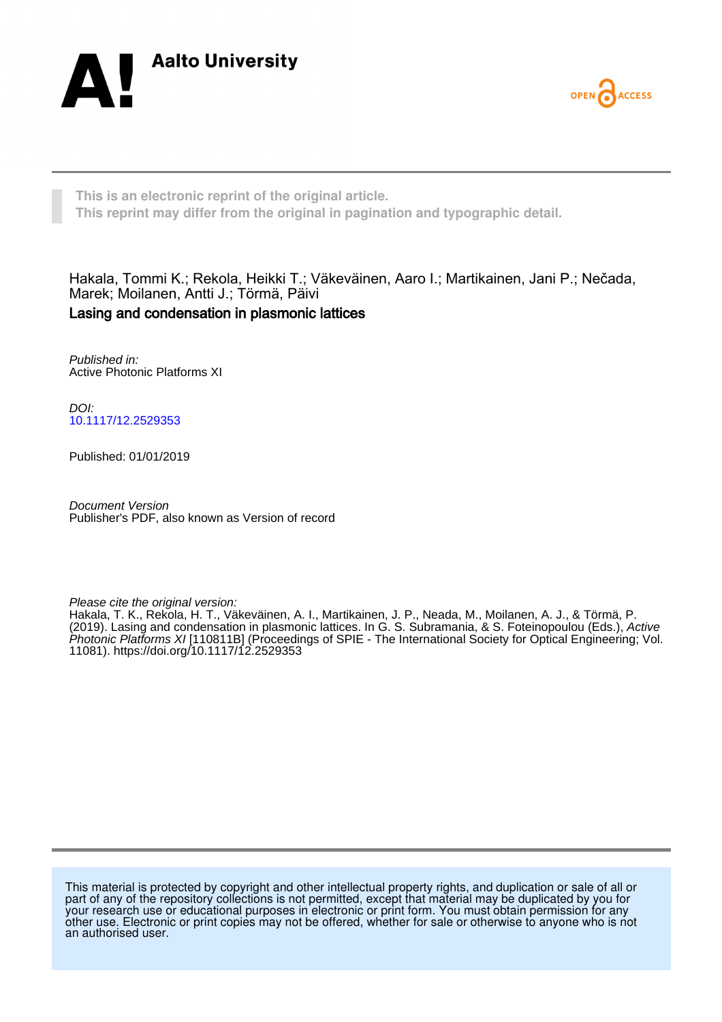



**This is an electronic reprint of the original article. This reprint may differ from the original in pagination and typographic detail.**

Hakala, Tommi K.; Rekola, Heikki T.; Väkeväinen, Aaro I.; Martikainen, Jani P.; Nečada, Marek; Moilanen, Antti J.; Törmä, Päivi Lasing and condensation in plasmonic lattices

Published in: Active Photonic Platforms XI

DOI: [10.1117/12.2529353](https://doi.org/10.1117/12.2529353)

Published: 01/01/2019

Document Version Publisher's PDF, also known as Version of record

Please cite the original version:

Hakala, T. K., Rekola, H. T., Väkeväinen, A. I., Martikainen, J. P., Neada, M., Moilanen, A. J., & Törmä, P. (2019). Lasing and condensation in plasmonic lattices. In G. S. Subramania, & S. Foteinopoulou (Eds.), Active Photonic Platforms XI [110811B] (Proceedings of SPIE - The International Society for Optical Engineering; Vol. 11081). <https://doi.org/10.1117/12.2529353>

This material is protected by copyright and other intellectual property rights, and duplication or sale of all or part of any of the repository collections is not permitted, except that material may be duplicated by you for your research use or educational purposes in electronic or print form. You must obtain permission for any other use. Electronic or print copies may not be offered, whether for sale or otherwise to anyone who is not an authorised user.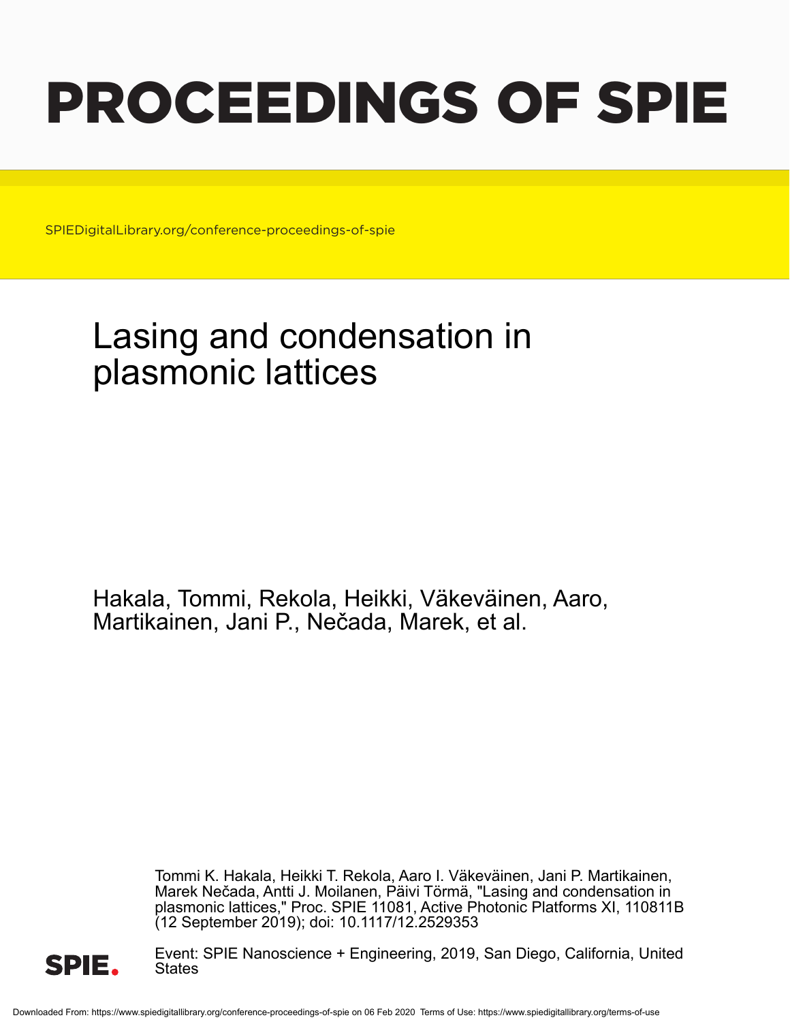# PROCEEDINGS OF SPIE

SPIEDigitalLibrary.org/conference-proceedings-of-spie

## Lasing and condensation in plasmonic lattices

Hakala, Tommi, Rekola, Heikki, Väkeväinen, Aaro, Martikainen, Jani P., Nečada, Marek, et al.

> Tommi K. Hakala, Heikki T. Rekola, Aaro I. Väkeväinen, Jani P. Martikainen, Marek Nečada, Antti J. Moilanen, Päivi Törmä, "Lasing and condensation in plasmonic lattices," Proc. SPIE 11081, Active Photonic Platforms XI, 110811B (12 September 2019); doi: 10.1117/12.2529353



Event: SPIE Nanoscience + Engineering, 2019, San Diego, California, United States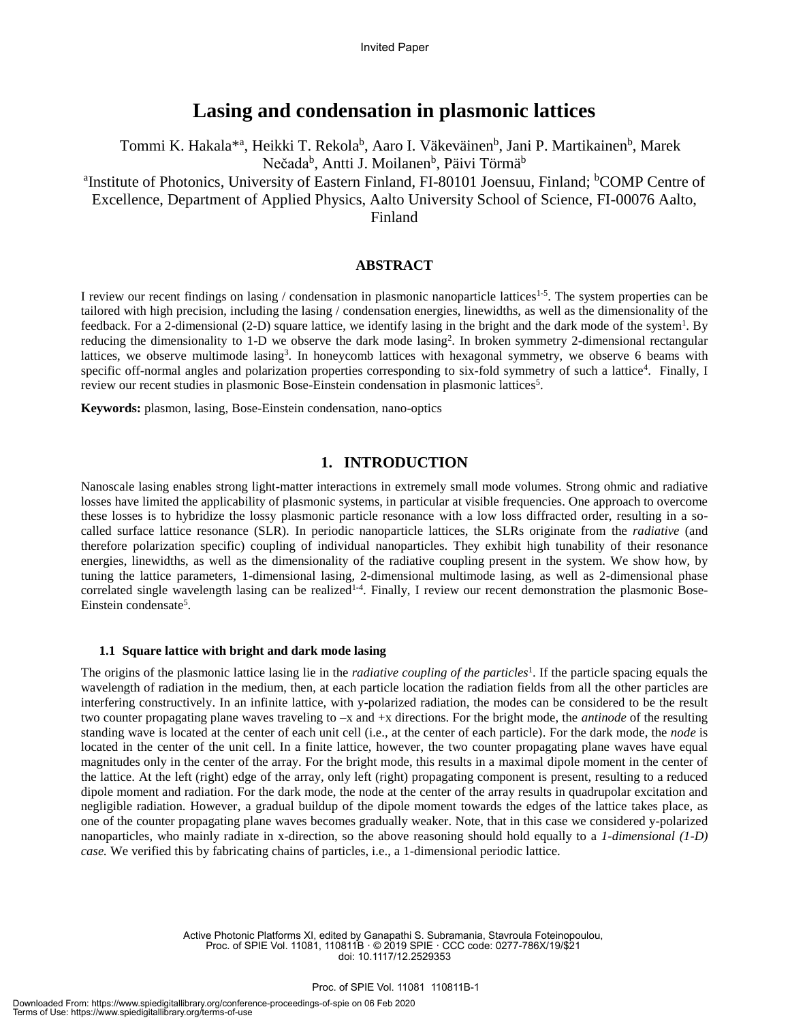### **Lasing and condensation in plasmonic lattices**

Tommi K. Hakala<sup>\*a</sup>, Heikki T. Rekola<sup>b</sup>, Aaro I. Väkeväinen<sup>b</sup>, Jani P. Martikainen<sup>b</sup>, Marek Nečada<sup>b</sup>, Antti J. Moilanen<sup>b</sup>, Päivi Törmä<sup>b</sup>

<sup>a</sup>Institute of Photonics, University of Eastern Finland, FI-80101 Joensuu, Finland; <sup>b</sup>COMP Centre of Excellence, Department of Applied Physics, Aalto University School of Science, FI-00076 Aalto,

Finland

#### **ABSTRACT**

I review our recent findings on lasing / condensation in plasmonic nanoparticle lattices<sup>1-5</sup>. The system properties can be tailored with high precision, including the lasing / condensation energies, linewidths, as well as the dimensionality of the feedback. For a 2-dimensional (2-D) square lattice, we identify lasing in the bright and the dark mode of the system<sup>1</sup>. By reducing the dimensionality to 1-D we observe the dark mode lasing<sup>2</sup>. In broken symmetry 2-dimensional rectangular lattices, we observe multimode lasing<sup>3</sup>. In honeycomb lattices with hexagonal symmetry, we observe 6 beams with specific off-normal angles and polarization properties corresponding to six-fold symmetry of such a lattice<sup>4</sup>. Finally, I review our recent studies in plasmonic Bose-Einstein condensation in plasmonic lattices<sup>5</sup>.

**Keywords:** plasmon, lasing, Bose-Einstein condensation, nano-optics

#### **1. INTRODUCTION**

Nanoscale lasing enables strong light-matter interactions in extremely small mode volumes. Strong ohmic and radiative losses have limited the applicability of plasmonic systems, in particular at visible frequencies. One approach to overcome these losses is to hybridize the lossy plasmonic particle resonance with a low loss diffracted order, resulting in a socalled surface lattice resonance (SLR). In periodic nanoparticle lattices, the SLRs originate from the *radiative* (and therefore polarization specific) coupling of individual nanoparticles. They exhibit high tunability of their resonance energies, linewidths, as well as the dimensionality of the radiative coupling present in the system. We show how, by tuning the lattice parameters, 1-dimensional lasing, 2-dimensional multimode lasing, as well as 2-dimensional phase correlated single wavelength lasing can be realized<sup>1-4</sup>. Finally, I review our recent demonstration the plasmonic Bose-Einstein condensate<sup>5</sup>.

#### **1.1 Square lattice with bright and dark mode lasing**

The origins of the plasmonic lattice lasing lie in the *radiative coupling of the particles*<sup>1</sup>. If the particle spacing equals the wavelength of radiation in the medium, then, at each particle location the radiation fields from all the other particles are interfering constructively. In an infinite lattice, with y-polarized radiation, the modes can be considered to be the result two counter propagating plane waves traveling to –x and +x directions. For the bright mode, the *antinode* of the resulting standing wave is located at the center of each unit cell (i.e., at the center of each particle). For the dark mode, the *node* is located in the center of the unit cell. In a finite lattice, however, the two counter propagating plane waves have equal magnitudes only in the center of the array. For the bright mode, this results in a maximal dipole moment in the center of the lattice. At the left (right) edge of the array, only left (right) propagating component is present, resulting to a reduced dipole moment and radiation. For the dark mode, the node at the center of the array results in quadrupolar excitation and negligible radiation. However, a gradual buildup of the dipole moment towards the edges of the lattice takes place, as one of the counter propagating plane waves becomes gradually weaker. Note, that in this case we considered y-polarized nanoparticles, who mainly radiate in x-direction, so the above reasoning should hold equally to a *1-dimensional (1-D) case.* We verified this by fabricating chains of particles, i.e., a 1-dimensional periodic lattice.

> Active Photonic Platforms XI, edited by Ganapathi S. Subramania, Stavroula Foteinopoulou, Proc. of SPIE Vol. 11081, 110811B · © 2019 SPIE · CCC code: 0277-786X/19/\$21 doi: 10.1117/12.2529353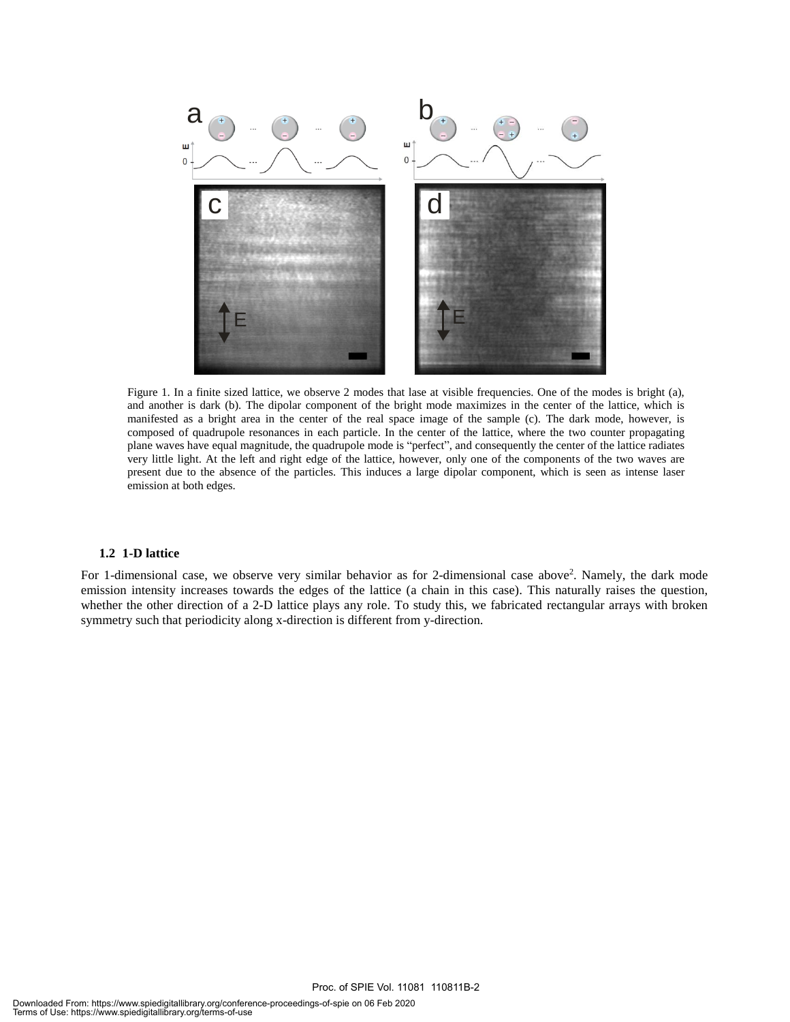

Figure 1. In a finite sized lattice, we observe 2 modes that lase at visible frequencies. One of the modes is bright (a), and another is dark (b). The dipolar component of the bright mode maximizes in the center of the lattice, which is manifested as a bright area in the center of the real space image of the sample (c). The dark mode, however, is composed of quadrupole resonances in each particle. In the center of the lattice, where the two counter propagating plane waves have equal magnitude, the quadrupole mode is "perfect", and consequently the center of the lattice radiates very little light. At the left and right edge of the lattice, however, only one of the components of the two waves are present due to the absence of the particles. This induces a large dipolar component, which is seen as intense laser emission at both edges.

#### **1.2 1-D lattice**

For 1-dimensional case, we observe very similar behavior as for 2-dimensional case above<sup>2</sup>. Namely, the dark mode emission intensity increases towards the edges of the lattice (a chain in this case). This naturally raises the question, whether the other direction of a 2-D lattice plays any role. To study this, we fabricated rectangular arrays with broken symmetry such that periodicity along x-direction is different from y-direction.

Proc. of SPIE Vol. 11081 110811B-2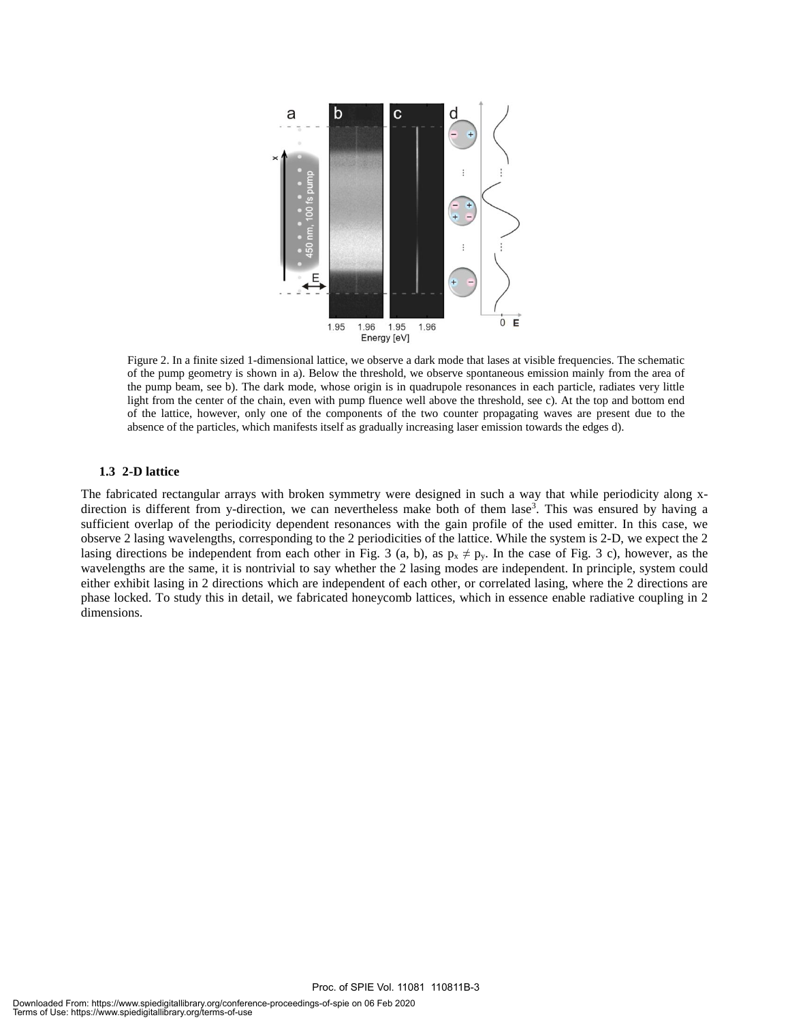

Figure 2. In a finite sized 1-dimensional lattice, we observe a dark mode that lases at visible frequencies. The schematic of the pump geometry is shown in a). Below the threshold, we observe spontaneous emission mainly from the area of the pump beam, see b). The dark mode, whose origin is in quadrupole resonances in each particle, radiates very little light from the center of the chain, even with pump fluence well above the threshold, see c). At the top and bottom end of the lattice, however, only one of the components of the two counter propagating waves are present due to the absence of the particles, which manifests itself as gradually increasing laser emission towards the edges d).

#### **1.3 2-D lattice**

The fabricated rectangular arrays with broken symmetry were designed in such a way that while periodicity along xdirection is different from y-direction, we can nevertheless make both of them lase<sup>3</sup>. This was ensured by having a sufficient overlap of the periodicity dependent resonances with the gain profile of the used emitter. In this case, we observe 2 lasing wavelengths, corresponding to the 2 periodicities of the lattice. While the system is 2-D, we expect the 2 lasing directions be independent from each other in Fig. 3 (a, b), as  $p_x \neq p_y$ . In the case of Fig. 3 c), however, as the wavelengths are the same, it is nontrivial to say whether the 2 lasing modes are independent. In principle, system could either exhibit lasing in 2 directions which are independent of each other, or correlated lasing, where the 2 directions are phase locked. To study this in detail, we fabricated honeycomb lattices, which in essence enable radiative coupling in 2 dimensions.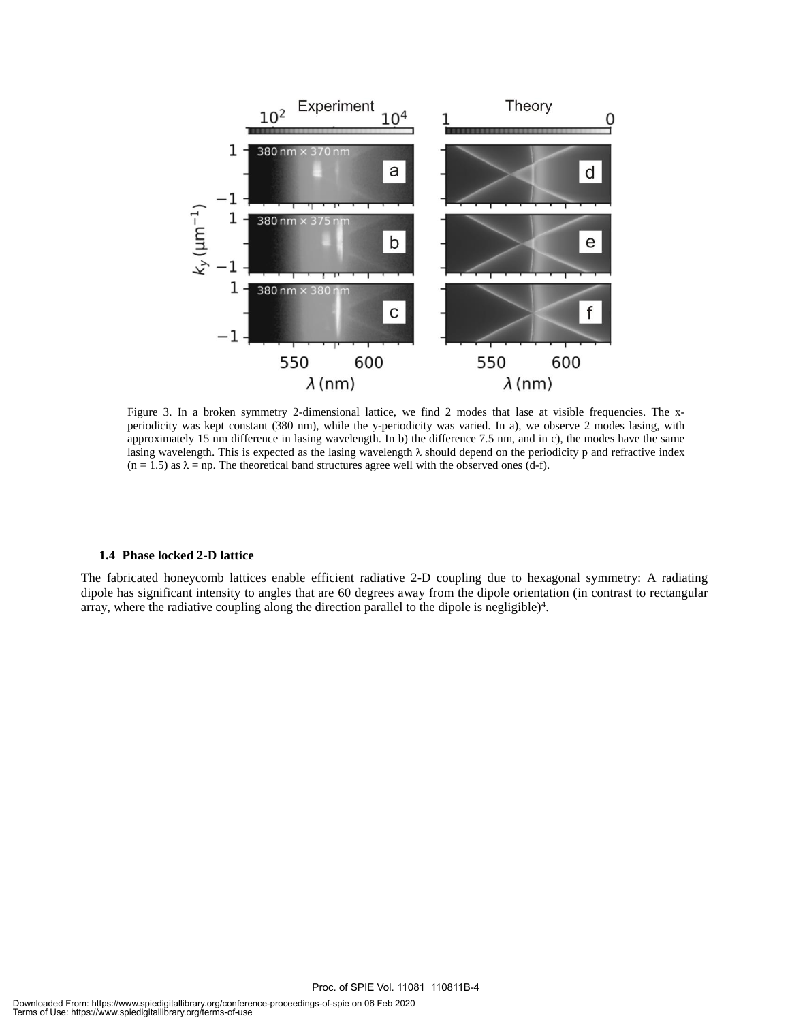

Figure 3. In a broken symmetry 2-dimensional lattice, we find 2 modes that lase at visible frequencies. The xperiodicity was kept constant (380 nm), while the y-periodicity was varied. In a), we observe 2 modes lasing, with approximately 15 nm difference in lasing wavelength. In b) the difference 7.5 nm, and in c), the modes have the same lasing wavelength. This is expected as the lasing wavelength λ should depend on the periodicity p and refractive index  $(n = 1.5)$  as  $\lambda = np$ . The theoretical band structures agree well with the observed ones (d-f).

#### **1.4 Phase locked 2-D lattice**

The fabricated honeycomb lattices enable efficient radiative 2-D coupling due to hexagonal symmetry: A radiating dipole has significant intensity to angles that are 60 degrees away from the dipole orientation (in contrast to rectangular array, where the radiative coupling along the direction parallel to the dipole is negligible) $4$ .